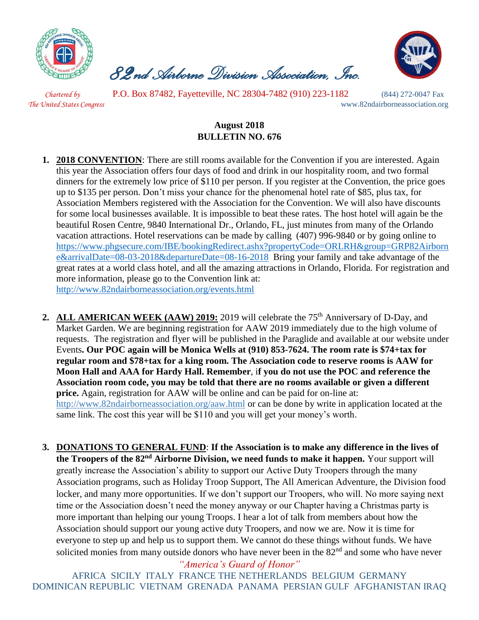

 *82nd Airborne Division Association, Inc.* 



 *Chartered by* P.O. Box 87482, Fayetteville, NC 28304-7482 (910) 223-1182 (844) 272-0047 Fax *The United States Congress* www.82ndairborneassociation.org

## **August 2018 BULLETIN NO. 676**

- **1. 2018 CONVENTION**: There are still rooms available for the Convention if you are interested. Again this year the Association offers four days of food and drink in our hospitality room, and two formal dinners for the extremely low price of \$110 per person. If you register at the Convention, the price goes up to \$135 per person. Don't miss your chance for the phenomenal hotel rate of \$85, plus tax, for Association Members registered with the Association for the Convention. We will also have discounts for some local businesses available. It is impossible to beat these rates. The host hotel will again be the beautiful Rosen Centre, 9840 International Dr., Orlando, FL, just minutes from many of the Orlando vacation attractions. Hotel reservations can be made by calling (407) 996-9840 or by going online t[o](https://linkprotect.cudasvc.com/url?a=https://www.phgsecure.com/IBE/bookingRedirect.ashx%3fpropertyCode%3dORLRH%26group%3dGRP82Airborne%26arrivalDate%3d08-03-2018%26departureDate%3d08-16-2018&c=E,1,HJtkOoO-PUZczzsVfSzwv1cNxcZEiOIYkaul51Pqvrt0mtZE9BFRRgYTPurE5U_mLWnXg2_HaS66eVRzXCgHDjvxr7tr8i3ZlU6XNH5Mc8xS&typo=1) [https://www.phgsecure.com/IBE/bookingRedirect.ashx?propertyCode=ORLRH&group=GRP82Airborn](https://linkprotect.cudasvc.com/url?a=https://www.phgsecure.com/IBE/bookingRedirect.ashx%3fpropertyCode%3dORLRH%26group%3dGRP82Airborne%26arrivalDate%3d08-03-2018%26departureDate%3d08-16-2018&c=E,1,HJtkOoO-PUZczzsVfSzwv1cNxcZEiOIYkaul51Pqvrt0mtZE9BFRRgYTPurE5U_mLWnXg2_HaS66eVRzXCgHDjvxr7tr8i3ZlU6XNH5Mc8xS&typo=1) [e&arrivalDate=08-03-2018&departureDate=08-16-2018](https://linkprotect.cudasvc.com/url?a=https://www.phgsecure.com/IBE/bookingRedirect.ashx%3fpropertyCode%3dORLRH%26group%3dGRP82Airborne%26arrivalDate%3d08-03-2018%26departureDate%3d08-16-2018&c=E,1,HJtkOoO-PUZczzsVfSzwv1cNxcZEiOIYkaul51Pqvrt0mtZE9BFRRgYTPurE5U_mLWnXg2_HaS66eVRzXCgHDjvxr7tr8i3ZlU6XNH5Mc8xS&typo=1) Bring your family and take advantage of the great rates at a world class hotel, and all the amazing attractions in Orlando, Florida. For registration and more information, please go to the Convention link at: <http://www.82ndairborneassociation.org/events.html>
- **2.** ALL AMERICAN WEEK (AAW) 2019: 2019 will celebrate the 75<sup>th</sup> Anniversary of D-Day, and Market Garden. We are beginning registration for AAW 2019 immediately due to the high volume of requests. The registration and flyer will be published in the Paraglide and available at our website under Events**. Our POC again will be Monica Wells at (910) 853-7624. The room rate is \$74+tax for regular room and \$78+tax for a king room. The Association code to reserve rooms is AAW for Moon Hall and AAA for Hardy Hall. Remember**, i**f you do not use the POC and reference the Association room code, you may be told that there are no rooms available or given a different price.** Again, registration for AAW will be online and can be paid for on-line at: <http://www.82ndairborneassociation.org/aaw.html> or can be done by write in application located at the same link. The cost this year will be \$110 and you will get your money's worth.
- **3. DONATIONS TO GENERAL FUND**: **If the Association is to make any difference in the lives of the Troopers of the 82nd Airborne Division, we need funds to make it happen.** Your support will greatly increase the Association's ability to support our Active Duty Troopers through the many Association programs, such as Holiday Troop Support, The All American Adventure, the Division food locker, and many more opportunities. If we don't support our Troopers, who will. No more saying next time or the Association doesn't need the money anyway or our Chapter having a Christmas party is more important than helping our young Troops. I hear a lot of talk from members about how the Association should support our young active duty Troopers, and now we are. Now it is time for everyone to step up and help us to support them. We cannot do these things without funds. We have solicited monies from many outside donors who have never been in the  $82<sup>nd</sup>$  and some who have never

*"America's Guard of Honor"*

AFRICA SICILY ITALY FRANCE THE NETHERLANDS BELGIUM GERMANY DOMINICAN REPUBLIC VIETNAM GRENADA PANAMA PERSIAN GULF AFGHANISTAN IRAQ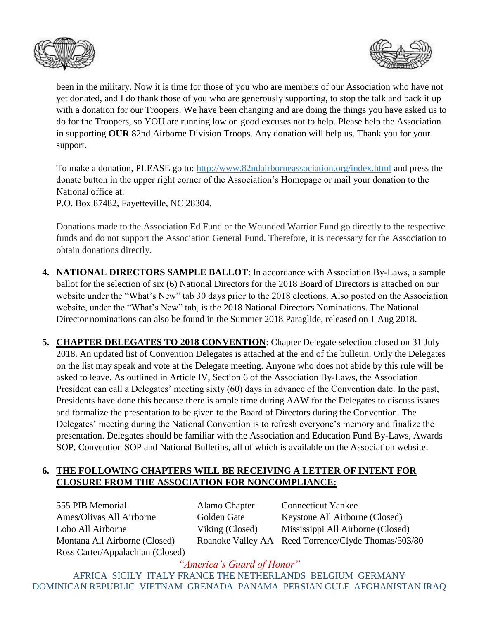



been in the military. Now it is time for those of you who are members of our Association who have not yet donated, and I do thank those of you who are generously supporting, to stop the talk and back it up with a donation for our Troopers. We have been changing and are doing the things you have asked us to do for the Troopers, so YOU are running low on good excuses not to help. Please help the Association in supporting **OUR** 82nd Airborne Division Troops. Any donation will help us. Thank you for your support.

To make a donation, PLEASE go to:<http://www.82ndairborneassociation.org/index.html> and press the donate button in the upper right corner of the Association's Homepage or mail your donation to the National office at:

P.O. Box 87482, Fayetteville, NC 28304.

Donations made to the Association Ed Fund or the Wounded Warrior Fund go directly to the respective funds and do not support the Association General Fund. Therefore, it is necessary for the Association to obtain donations directly.

- **4. NATIONAL DIRECTORS SAMPLE BALLOT**: In accordance with Association By-Laws, a sample ballot for the selection of six (6) National Directors for the 2018 Board of Directors is attached on our website under the "What's New" tab 30 days prior to the 2018 elections. Also posted on the Association website, under the "What's New" tab, is the 2018 National Directors Nominations. The National Director nominations can also be found in the Summer 2018 Paraglide, released on 1 Aug 2018.
- **5. CHAPTER DELEGATES TO 2018 CONVENTION**: Chapter Delegate selection closed on 31 July 2018. An updated list of Convention Delegates is attached at the end of the bulletin. Only the Delegates on the list may speak and vote at the Delegate meeting. Anyone who does not abide by this rule will be asked to leave. As outlined in Article IV, Section 6 of the Association By-Laws, the Association President can call a Delegates' meeting sixty (60) days in advance of the Convention date. In the past, Presidents have done this because there is ample time during AAW for the Delegates to discuss issues and formalize the presentation to be given to the Board of Directors during the Convention. The Delegates' meeting during the National Convention is to refresh everyone's memory and finalize the presentation. Delegates should be familiar with the Association and Education Fund By-Laws, Awards SOP, Convention SOP and National Bulletins, all of which is available on the Association website.

## **6. THE FOLLOWING CHAPTERS WILL BE RECEIVING A LETTER OF INTENT FOR CLOSURE FROM THE ASSOCIATION FOR NONCOMPLIANCE:**

555 PIB Memorial Alamo Chapter Connecticut Yankee Ames/Olivas All Airborne Golden Gate Keystone All Airborne (Closed) Ross Carter/Appalachian (Closed)

Lobo All Airborne Viking (Closed) Mississippi All Airborne (Closed) Montana All Airborne (Closed) Roanoke Valley AA Reed Torrence/Clyde Thomas/503/80

*"America's Guard of Honor"* AFRICA SICILY ITALY FRANCE THE NETHERLANDS BELGIUM GERMANY DOMINICAN REPUBLIC VIETNAM GRENADA PANAMA PERSIAN GULF AFGHANISTAN IRAQ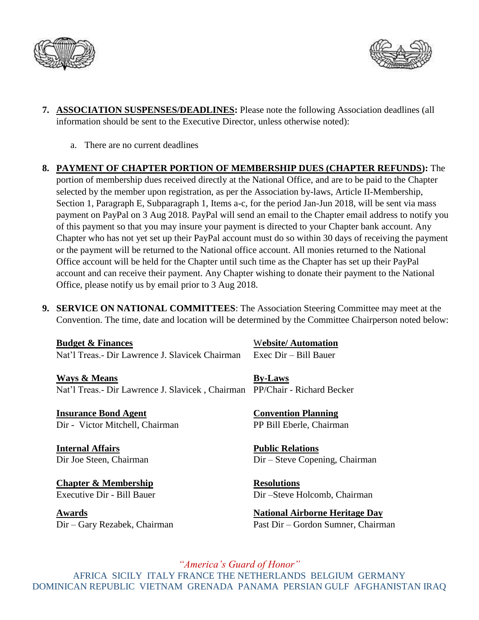



- **7. ASSOCIATION SUSPENSES/DEADLINES:** Please note the following Association deadlines (all information should be sent to the Executive Director, unless otherwise noted):
	- a. There are no current deadlines
- **8. PAYMENT OF CHAPTER PORTION OF MEMBERSHIP DUES (CHAPTER REFUNDS):** The portion of membership dues received directly at the National Office, and are to be paid to the Chapter selected by the member upon registration, as per the Association by-laws, Article II-Membership, Section 1, Paragraph E, Subparagraph 1, Items a-c, for the period Jan-Jun 2018, will be sent via mass payment on PayPal on 3 Aug 2018. PayPal will send an email to the Chapter email address to notify you of this payment so that you may insure your payment is directed to your Chapter bank account. Any Chapter who has not yet set up their PayPal account must do so within 30 days of receiving the payment or the payment will be returned to the National office account. All monies returned to the National Office account will be held for the Chapter until such time as the Chapter has set up their PayPal account and can receive their payment. Any Chapter wishing to donate their payment to the National Office, please notify us by email prior to 3 Aug 2018.
- **9. SERVICE ON NATIONAL COMMITTEES**: The Association Steering Committee may meet at the Convention. The time, date and location will be determined by the Committee Chairperson noted below:

**Budget & Finances** Website/ Automation Nat'l Treas.- Dir Lawrence J. Slavicek Chairman Exec Dir – Bill Bauer

**Ways & Means By-Laws** Nat'l Treas.- Dir Lawrence J. Slavicek , Chairman PP/Chair - Richard Becker

**Insurance Bond Agent Convention Planning** Dir - Victor Mitchell, Chairman PP Bill Eberle, Chairman

**Internal Affairs Public Relations**

**Chapter & Membership Resolutions** 

Dir Joe Steen, Chairman Dir – Steve Copening, Chairman

Executive Dir - Bill Bauer Dir –Steve Holcomb, Chairman

**Awards National Airborne Heritage Day** Dir – Gary Rezabek, Chairman Past Dir – Gordon Sumner, Chairman

*"America's Guard of Honor"* AFRICA SICILY ITALY FRANCE THE NETHERLANDS BELGIUM GERMANY DOMINICAN REPUBLIC VIETNAM GRENADA PANAMA PERSIAN GULF AFGHANISTAN IRAQ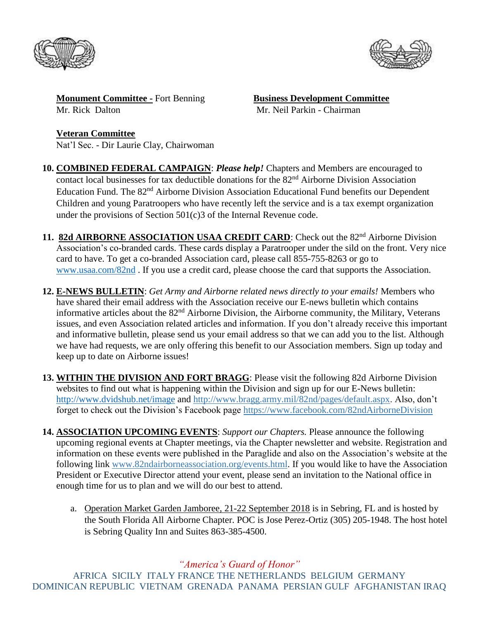



**Monument Committee -** Fort Benning **Business Development Committee** Mr. Rick Dalton Mr. Neil Parkin - Chairman

**Veteran Committee** Nat'l Sec. - Dir Laurie Clay, Chairwoman

- **10. COMBINED FEDERAL CAMPAIGN**: *Please help!* Chapters and Members are encouraged to contact local businesses for tax deductible donations for the 82<sup>nd</sup> Airborne Division Association Education Fund. The 82<sup>nd</sup> Airborne Division Association Educational Fund benefits our Dependent Children and young Paratroopers who have recently left the service and is a tax exempt organization under the provisions of Section 501(c)3 of the Internal Revenue code.
- 11. **82d AIRBORNE ASSOCIATION USAA CREDIT CARD**: Check out the 82<sup>nd</sup> Airborne Division Association's co-branded cards. These cards display a Paratrooper under the sild on the front. Very nice card to have. To get a co-branded Association card, please call 855-755-8263 or go to [www.usaa.com/82nd](http://www.usaa.com/82nd) . If you use a credit card, please choose the card that supports the Association.
- **12. E-NEWS BULLETIN**: *Get Army and Airborne related news directly to your emails!* Members who have shared their email address with the Association receive our E-news bulletin which contains informative articles about the  $82<sup>nd</sup>$  Airborne Division, the Airborne community, the Military, Veterans issues, and even Association related articles and information. If you don't already receive this important and informative bulletin, please send us your email address so that we can add you to the list. Although we have had requests, we are only offering this benefit to our Association members. Sign up today and keep up to date on Airborne issues!
- **13. WITHIN THE DIVISION AND FORT BRAGG**: Please visit the following 82d Airborne Division websites to find out what is happening within the Division and sign up for our E-News bulletin: <http://www.dvidshub.net/image> and [http://www.bragg.army.mil/82nd/pages/default.aspx.](http://www.bragg.army.mil/82ND/Pages/default.aspx) Also, don't forget to check out the Division's Facebook page<https://www.facebook.com/82ndAirborneDivision>
- **14. ASSOCIATION UPCOMING EVENTS**: *Support our Chapters.* Please announce the following upcoming regional events at Chapter meetings, via the Chapter newsletter and website. Registration and information on these events were published in the Paraglide and also on the Association's website at the following link [www.82ndairborneassociation.org/events.html.](http://www.82ndairborneassociation.org/events.html) If you would like to have the Association President or Executive Director attend your event, please send an invitation to the National office in enough time for us to plan and we will do our best to attend.
	- a. Operation Market Garden Jamboree, 21-22 September 2018 is in Sebring, FL and is hosted by the South Florida All Airborne Chapter. POC is Jose Perez-Ortiz (305) 205-1948. The host hotel is Sebring Quality Inn and Suites 863-385-4500.

*"America's Guard of Honor"*

AFRICA SICILY ITALY FRANCE THE NETHERLANDS BELGIUM GERMANY DOMINICAN REPUBLIC VIETNAM GRENADA PANAMA PERSIAN GULF AFGHANISTAN IRAQ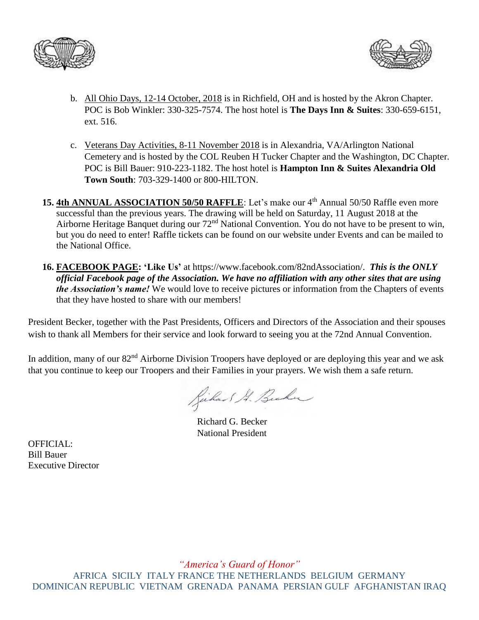



- b. All Ohio Days, 12-14 October, 2018 is in Richfield, OH and is hosted by the Akron Chapter. POC is Bob Winkler: 330-325-7574. The host hotel is **The Days Inn & Suites**: 330-659-6151, ext. 516.
- c. Veterans Day Activities, 8-11 November 2018 is in Alexandria, VA/Arlington National Cemetery and is hosted by the COL Reuben H Tucker Chapter and the Washington, DC Chapter. POC is Bill Bauer: 910-223-1182. The host hotel is **Hampton Inn & Suites Alexandria Old Town South**: 703-329-1400 or 800-HILTON.
- 15. 4th ANNUAL ASSOCIATION 50/50 RAFFLE: Let's make our 4<sup>th</sup> Annual 50/50 Raffle even more successful than the previous years. The drawing will be held on Saturday, 11 August 2018 at the Airborne Heritage Banquet during our 72<sup>nd</sup> National Convention. You do not have to be present to win, but you do need to enter! Raffle tickets can be found on our website under Events and can be mailed to the National Office.
- **16. FACEBOOK PAGE: 'Like Us'** at https://www.facebook.com/82ndAssociation/. *This is the ONLY official Facebook page of the Association. We have no affiliation with any other sites that are using the Association's name!* We would love to receive pictures or information from the Chapters of events that they have hosted to share with our members!

President Becker, together with the Past Presidents, Officers and Directors of the Association and their spouses wish to thank all Members for their service and look forward to seeing you at the 72nd Annual Convention.

In addition, many of our 82<sup>nd</sup> Airborne Division Troopers have deployed or are deploying this year and we ask that you continue to keep our Troopers and their Families in your prayers. We wish them a safe return.

Richard A. Bucher

Richard G. Becker National President

OFFICIAL: Bill Bauer Executive Director